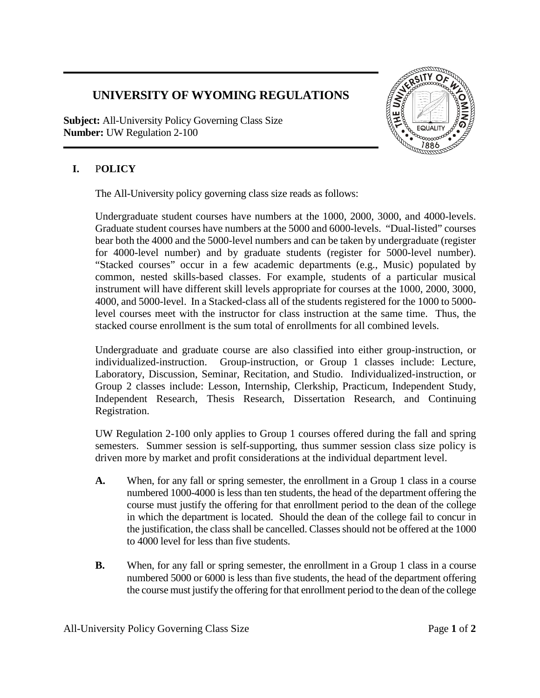## **UNIVERSITY OF WYOMING REGULATIONS**

**Subject:** All-University Policy Governing Class Size **Number:** UW Regulation 2-100



## **I.** P**OLICY**

The All-University policy governing class size reads as follows:

Undergraduate student courses have numbers at the 1000, 2000, 3000, and 4000-levels. Graduate student courses have numbers at the 5000 and 6000-levels. "Dual-listed" courses bear both the 4000 and the 5000-level numbers and can be taken by undergraduate (register for 4000-level number) and by graduate students (register for 5000-level number). "Stacked courses" occur in a few academic departments (e.g., Music) populated by common, nested skills-based classes. For example, students of a particular musical instrument will have different skill levels appropriate for courses at the 1000, 2000, 3000, 4000, and 5000-level. In a Stacked-class all of the students registered for the 1000 to 5000 level courses meet with the instructor for class instruction at the same time. Thus, the stacked course enrollment is the sum total of enrollments for all combined levels.

Undergraduate and graduate course are also classified into either group-instruction, or individualized-instruction. Group-instruction, or Group 1 classes include: Lecture, Laboratory, Discussion, Seminar, Recitation, and Studio. Individualized-instruction, or Group 2 classes include: Lesson, Internship, Clerkship, Practicum, Independent Study, Independent Research, Thesis Research, Dissertation Research, and Continuing Registration.

UW Regulation 2-100 only applies to Group 1 courses offered during the fall and spring semesters. Summer session is self-supporting, thus summer session class size policy is driven more by market and profit considerations at the individual department level.

- **A.** When, for any fall or spring semester, the enrollment in a Group 1 class in a course numbered 1000-4000 is less than ten students, the head of the department offering the course must justify the offering for that enrollment period to the dean of the college in which the department is located. Should the dean of the college fail to concur in the justification, the class shall be cancelled. Classes should not be offered at the 1000 to 4000 level for less than five students.
- **B.** When, for any fall or spring semester, the enrollment in a Group 1 class in a course numbered 5000 or 6000 is less than five students, the head of the department offering the course must justify the offering for that enrollment period to the dean of the college